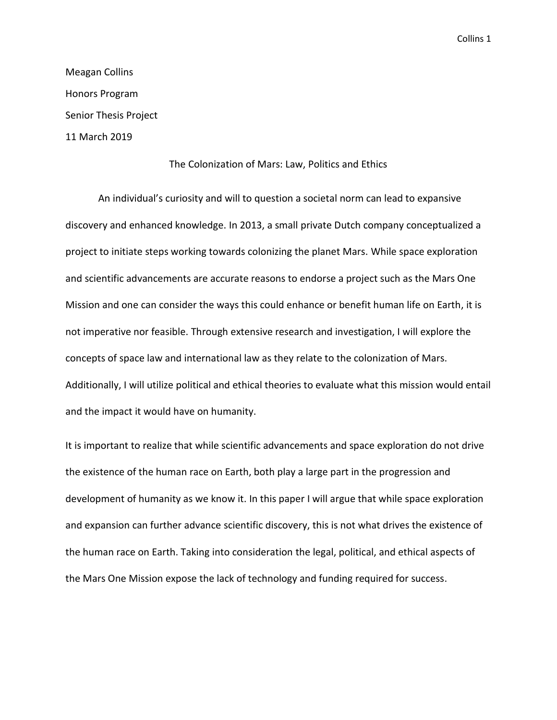Meagan Collins Honors Program Senior Thesis Project 11 March 2019

## The Colonization of Mars: Law, Politics and Ethics

An individual's curiosity and will to question a societal norm can lead to expansive discovery and enhanced knowledge. In 2013, a small private Dutch company conceptualized a project to initiate steps working towards colonizing the planet Mars. While space exploration and scientific advancements are accurate reasons to endorse a project such as the Mars One Mission and one can consider the ways this could enhance or benefit human life on Earth, it is not imperative nor feasible. Through extensive research and investigation, I will explore the concepts of space law and international law as they relate to the colonization of Mars. Additionally, I will utilize political and ethical theories to evaluate what this mission would entail and the impact it would have on humanity.

It is important to realize that while scientific advancements and space exploration do not drive the existence of the human race on Earth, both play a large part in the progression and development of humanity as we know it. In this paper I will argue that while space exploration and expansion can further advance scientific discovery, this is not what drives the existence of the human race on Earth. Taking into consideration the legal, political, and ethical aspects of the Mars One Mission expose the lack of technology and funding required for success.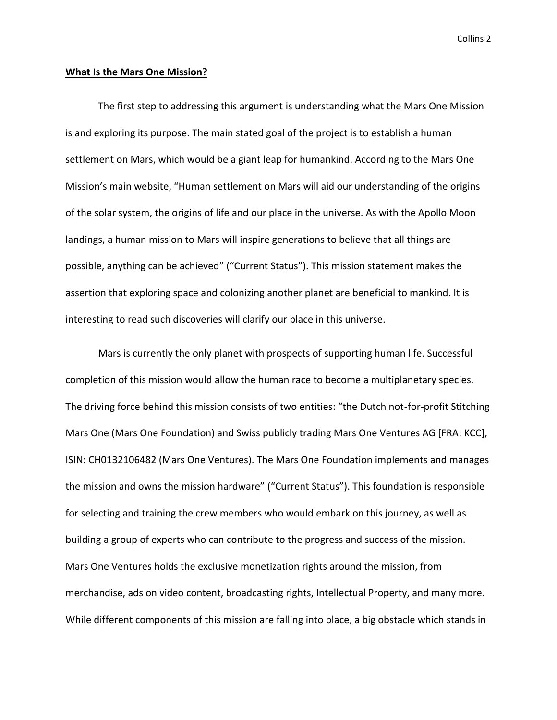#### **What Is the Mars One Mission?**

The first step to addressing this argument is understanding what the Mars One Mission is and exploring its purpose. The main stated goal of the project is to establish a human settlement on Mars, which would be a giant leap for humankind. According to the Mars One Mission's main website, "Human settlement on Mars will aid our understanding of the origins of the solar system, the origins of life and our place in the universe. As with the Apollo Moon landings, a human mission to Mars will inspire generations to believe that all things are possible, anything can be achieved" ("Current Status"). This mission statement makes the assertion that exploring space and colonizing another planet are beneficial to mankind. It is interesting to read such discoveries will clarify our place in this universe.

Mars is currently the only planet with prospects of supporting human life. Successful completion of this mission would allow the human race to become a multiplanetary species. The driving force behind this mission consists of two entities: "the Dutch not-for-profit Stitching Mars One (Mars One Foundation) and Swiss publicly trading Mars One Ventures AG [FRA: KCC], ISIN: CH0132106482 (Mars One Ventures). The Mars One Foundation implements and manages the mission and owns the mission hardware" ("Current Status"). This foundation is responsible for selecting and training the crew members who would embark on this journey, as well as building a group of experts who can contribute to the progress and success of the mission. Mars One Ventures holds the exclusive monetization rights around the mission, from merchandise, ads on video content, broadcasting rights, Intellectual Property, and many more. While different components of this mission are falling into place, a big obstacle which stands in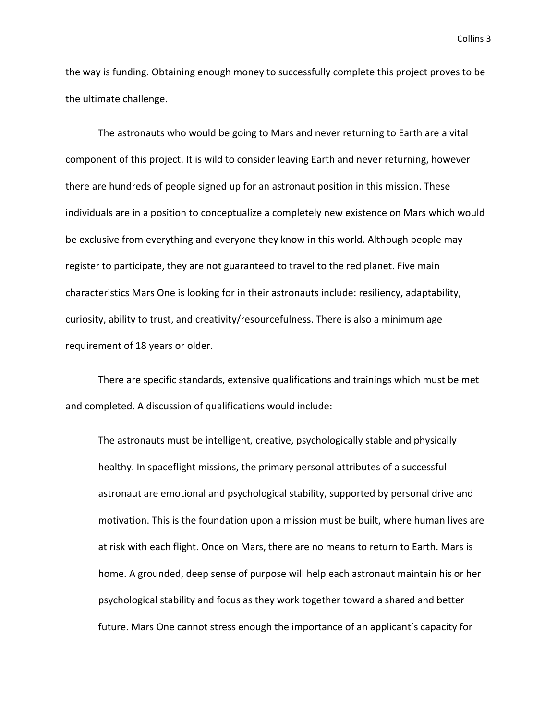the way is funding. Obtaining enough money to successfully complete this project proves to be the ultimate challenge.

The astronauts who would be going to Mars and never returning to Earth are a vital component of this project. It is wild to consider leaving Earth and never returning, however there are hundreds of people signed up for an astronaut position in this mission. These individuals are in a position to conceptualize a completely new existence on Mars which would be exclusive from everything and everyone they know in this world. Although people may register to participate, they are not guaranteed to travel to the red planet. Five main characteristics Mars One is looking for in their astronauts include: resiliency, adaptability, curiosity, ability to trust, and creativity/resourcefulness. There is also a minimum age requirement of 18 years or older.

There are specific standards, extensive qualifications and trainings which must be met and completed. A discussion of qualifications would include:

The astronauts must be intelligent, creative, psychologically stable and physically healthy. In spaceflight missions, the primary personal attributes of a successful astronaut are emotional and psychological stability, supported by personal drive and motivation. This is the foundation upon a mission must be built, where human lives are at risk with each flight. Once on Mars, there are no means to return to Earth. Mars is home. A grounded, deep sense of purpose will help each astronaut maintain his or her psychological stability and focus as they work together toward a shared and better future. Mars One cannot stress enough the importance of an applicant's capacity for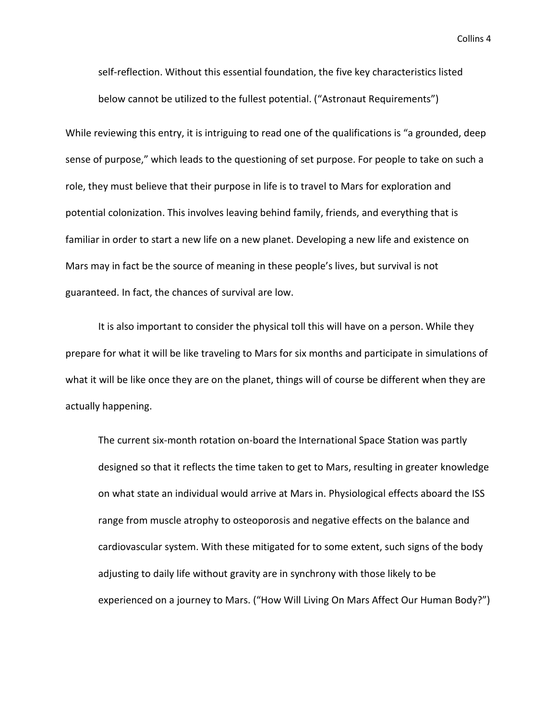self-reflection. Without this essential foundation, the five key characteristics listed below cannot be utilized to the fullest potential. ("Astronaut Requirements")

While reviewing this entry, it is intriguing to read one of the qualifications is "a grounded, deep sense of purpose," which leads to the questioning of set purpose. For people to take on such a role, they must believe that their purpose in life is to travel to Mars for exploration and potential colonization. This involves leaving behind family, friends, and everything that is familiar in order to start a new life on a new planet. Developing a new life and existence on Mars may in fact be the source of meaning in these people's lives, but survival is not guaranteed. In fact, the chances of survival are low.

It is also important to consider the physical toll this will have on a person. While they prepare for what it will be like traveling to Mars for six months and participate in simulations of what it will be like once they are on the planet, things will of course be different when they are actually happening.

The current six-month rotation on-board the International Space Station was partly designed so that it reflects the time taken to get to Mars, resulting in greater knowledge on what state an individual would arrive at Mars in. Physiological effects aboard the ISS range from muscle atrophy to osteoporosis and negative effects on the balance and cardiovascular system. With these mitigated for to some extent, such signs of the body adjusting to daily life without gravity are in synchrony with those likely to be experienced on a journey to Mars. ("How Will Living On Mars Affect Our Human Body?")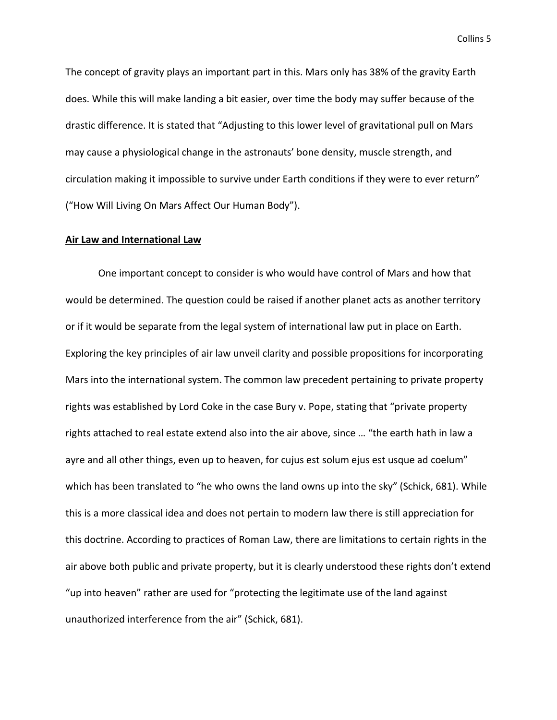The concept of gravity plays an important part in this. Mars only has 38% of the gravity Earth does. While this will make landing a bit easier, over time the body may suffer because of the drastic difference. It is stated that "Adjusting to this lower level of gravitational pull on Mars may cause a physiological change in the astronauts' bone density, muscle strength, and circulation making it impossible to survive under Earth conditions if they were to ever return" ("How Will Living On Mars Affect Our Human Body").

# **Air Law and International Law**

One important concept to consider is who would have control of Mars and how that would be determined. The question could be raised if another planet acts as another territory or if it would be separate from the legal system of international law put in place on Earth. Exploring the key principles of air law unveil clarity and possible propositions for incorporating Mars into the international system. The common law precedent pertaining to private property rights was established by Lord Coke in the case Bury v. Pope, stating that "private property rights attached to real estate extend also into the air above, since … "the earth hath in law a ayre and all other things, even up to heaven, for cujus est solum ejus est usque ad coelum" which has been translated to "he who owns the land owns up into the sky" (Schick, 681). While this is a more classical idea and does not pertain to modern law there is still appreciation for this doctrine. According to practices of Roman Law, there are limitations to certain rights in the air above both public and private property, but it is clearly understood these rights don't extend "up into heaven" rather are used for "protecting the legitimate use of the land against unauthorized interference from the air" (Schick, 681).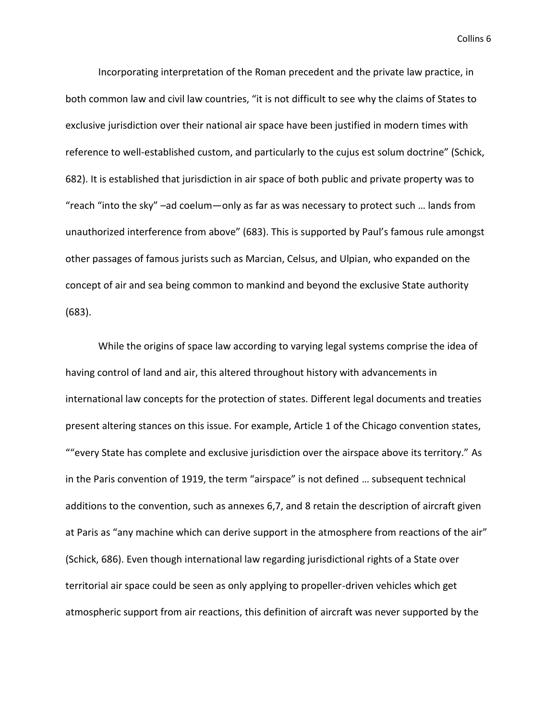Incorporating interpretation of the Roman precedent and the private law practice, in both common law and civil law countries, "it is not difficult to see why the claims of States to exclusive jurisdiction over their national air space have been justified in modern times with reference to well-established custom, and particularly to the cujus est solum doctrine" (Schick, 682). It is established that jurisdiction in air space of both public and private property was to "reach "into the sky" –ad coelum—only as far as was necessary to protect such … lands from unauthorized interference from above" (683). This is supported by Paul's famous rule amongst other passages of famous jurists such as Marcian, Celsus, and Ulpian, who expanded on the concept of air and sea being common to mankind and beyond the exclusive State authority (683).

While the origins of space law according to varying legal systems comprise the idea of having control of land and air, this altered throughout history with advancements in international law concepts for the protection of states. Different legal documents and treaties present altering stances on this issue. For example, Article 1 of the Chicago convention states, ""every State has complete and exclusive jurisdiction over the airspace above its territory." As in the Paris convention of 1919, the term "airspace" is not defined … subsequent technical additions to the convention, such as annexes 6,7, and 8 retain the description of aircraft given at Paris as "any machine which can derive support in the atmosphere from reactions of the air" (Schick, 686). Even though international law regarding jurisdictional rights of a State over territorial air space could be seen as only applying to propeller-driven vehicles which get atmospheric support from air reactions, this definition of aircraft was never supported by the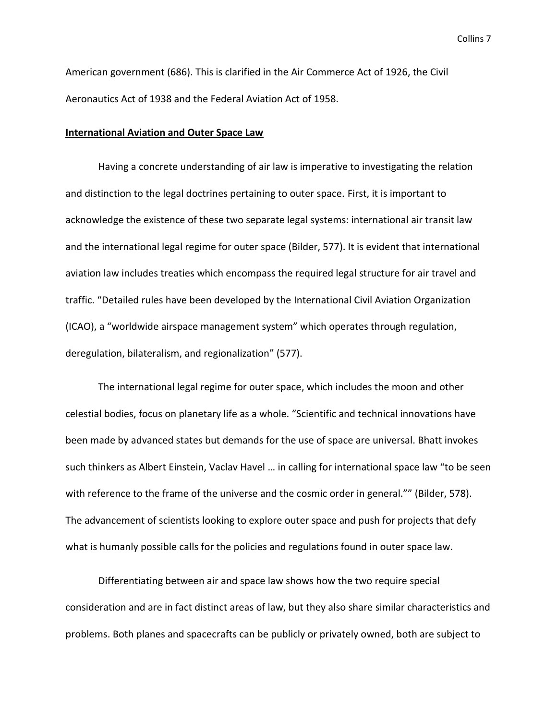American government (686). This is clarified in the Air Commerce Act of 1926, the Civil Aeronautics Act of 1938 and the Federal Aviation Act of 1958.

#### **International Aviation and Outer Space Law**

Having a concrete understanding of air law is imperative to investigating the relation and distinction to the legal doctrines pertaining to outer space. First, it is important to acknowledge the existence of these two separate legal systems: international air transit law and the international legal regime for outer space (Bilder, 577). It is evident that international aviation law includes treaties which encompass the required legal structure for air travel and traffic. "Detailed rules have been developed by the International Civil Aviation Organization (ICAO), a "worldwide airspace management system" which operates through regulation, deregulation, bilateralism, and regionalization" (577).

The international legal regime for outer space, which includes the moon and other celestial bodies, focus on planetary life as a whole. "Scientific and technical innovations have been made by advanced states but demands for the use of space are universal. Bhatt invokes such thinkers as Albert Einstein, Vaclav Havel … in calling for international space law "to be seen with reference to the frame of the universe and the cosmic order in general."" (Bilder, 578). The advancement of scientists looking to explore outer space and push for projects that defy what is humanly possible calls for the policies and regulations found in outer space law.

Differentiating between air and space law shows how the two require special consideration and are in fact distinct areas of law, but they also share similar characteristics and problems. Both planes and spacecrafts can be publicly or privately owned, both are subject to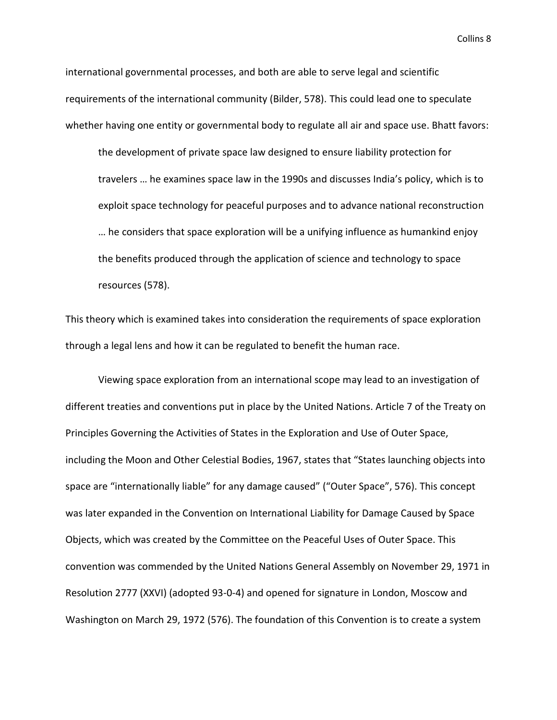international governmental processes, and both are able to serve legal and scientific requirements of the international community (Bilder, 578). This could lead one to speculate whether having one entity or governmental body to regulate all air and space use. Bhatt favors:

the development of private space law designed to ensure liability protection for travelers … he examines space law in the 1990s and discusses India's policy, which is to exploit space technology for peaceful purposes and to advance national reconstruction … he considers that space exploration will be a unifying influence as humankind enjoy the benefits produced through the application of science and technology to space resources (578).

This theory which is examined takes into consideration the requirements of space exploration through a legal lens and how it can be regulated to benefit the human race.

Viewing space exploration from an international scope may lead to an investigation of different treaties and conventions put in place by the United Nations. Article 7 of the Treaty on Principles Governing the Activities of States in the Exploration and Use of Outer Space, including the Moon and Other Celestial Bodies, 1967, states that "States launching objects into space are "internationally liable" for any damage caused" ("Outer Space", 576). This concept was later expanded in the Convention on International Liability for Damage Caused by Space Objects, which was created by the Committee on the Peaceful Uses of Outer Space. This convention was commended by the United Nations General Assembly on November 29, 1971 in Resolution 2777 (XXVI) (adopted 93-0-4) and opened for signature in London, Moscow and Washington on March 29, 1972 (576). The foundation of this Convention is to create a system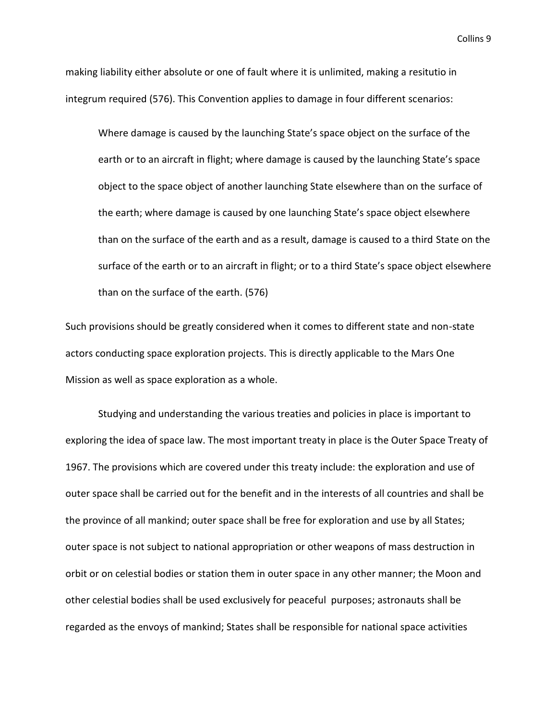making liability either absolute or one of fault where it is unlimited, making a resitutio in integrum required (576). This Convention applies to damage in four different scenarios:

Where damage is caused by the launching State's space object on the surface of the earth or to an aircraft in flight; where damage is caused by the launching State's space object to the space object of another launching State elsewhere than on the surface of the earth; where damage is caused by one launching State's space object elsewhere than on the surface of the earth and as a result, damage is caused to a third State on the surface of the earth or to an aircraft in flight; or to a third State's space object elsewhere than on the surface of the earth. (576)

Such provisions should be greatly considered when it comes to different state and non-state actors conducting space exploration projects. This is directly applicable to the Mars One Mission as well as space exploration as a whole.

Studying and understanding the various treaties and policies in place is important to exploring the idea of space law. The most important treaty in place is the Outer Space Treaty of 1967. The provisions which are covered under this treaty include: the exploration and use of outer space shall be carried out for the benefit and in the interests of all countries and shall be the province of all mankind; outer space shall be free for exploration and use by all States; outer space is not subject to national appropriation or other weapons of mass destruction in orbit or on celestial bodies or station them in outer space in any other manner; the Moon and other celestial bodies shall be used exclusively for peaceful purposes; astronauts shall be regarded as the envoys of mankind; States shall be responsible for national space activities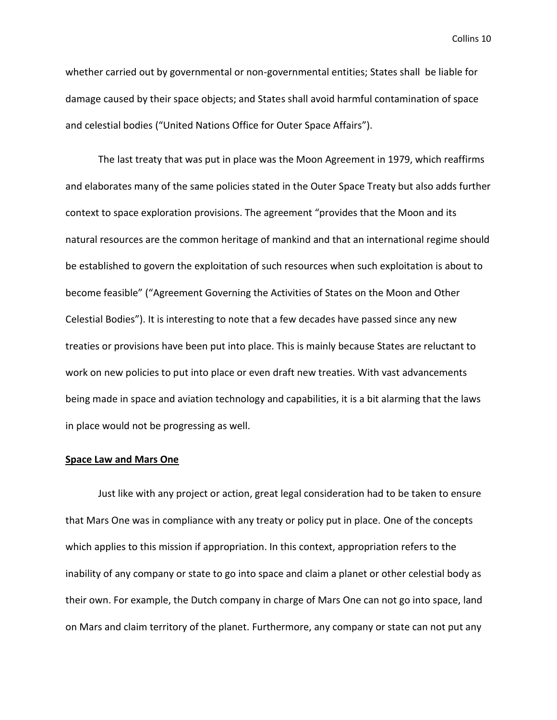whether carried out by governmental or non-governmental entities; States shall be liable for damage caused by their space objects; and States shall avoid harmful contamination of space and celestial bodies ("United Nations Office for Outer Space Affairs").

The last treaty that was put in place was the Moon Agreement in 1979, which reaffirms and elaborates many of the same policies stated in the Outer Space Treaty but also adds further context to space exploration provisions. The agreement "provides that the Moon and its natural resources are the common heritage of mankind and that an international regime should be established to govern the exploitation of such resources when such exploitation is about to become feasible" ("Agreement Governing the Activities of States on the Moon and Other Celestial Bodies"). It is interesting to note that a few decades have passed since any new treaties or provisions have been put into place. This is mainly because States are reluctant to work on new policies to put into place or even draft new treaties. With vast advancements being made in space and aviation technology and capabilities, it is a bit alarming that the laws in place would not be progressing as well.

## **Space Law and Mars One**

Just like with any project or action, great legal consideration had to be taken to ensure that Mars One was in compliance with any treaty or policy put in place. One of the concepts which applies to this mission if appropriation. In this context, appropriation refers to the inability of any company or state to go into space and claim a planet or other celestial body as their own. For example, the Dutch company in charge of Mars One can not go into space, land on Mars and claim territory of the planet. Furthermore, any company or state can not put any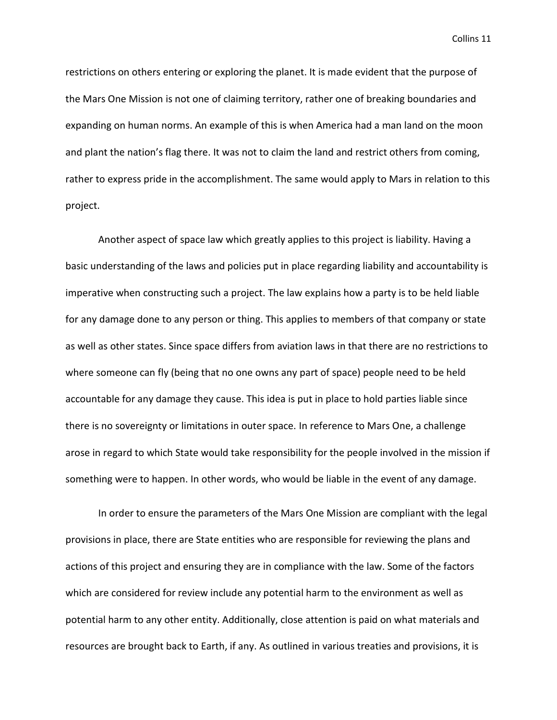restrictions on others entering or exploring the planet. It is made evident that the purpose of the Mars One Mission is not one of claiming territory, rather one of breaking boundaries and expanding on human norms. An example of this is when America had a man land on the moon and plant the nation's flag there. It was not to claim the land and restrict others from coming, rather to express pride in the accomplishment. The same would apply to Mars in relation to this project.

Another aspect of space law which greatly applies to this project is liability. Having a basic understanding of the laws and policies put in place regarding liability and accountability is imperative when constructing such a project. The law explains how a party is to be held liable for any damage done to any person or thing. This applies to members of that company or state as well as other states. Since space differs from aviation laws in that there are no restrictions to where someone can fly (being that no one owns any part of space) people need to be held accountable for any damage they cause. This idea is put in place to hold parties liable since there is no sovereignty or limitations in outer space. In reference to Mars One, a challenge arose in regard to which State would take responsibility for the people involved in the mission if something were to happen. In other words, who would be liable in the event of any damage.

In order to ensure the parameters of the Mars One Mission are compliant with the legal provisions in place, there are State entities who are responsible for reviewing the plans and actions of this project and ensuring they are in compliance with the law. Some of the factors which are considered for review include any potential harm to the environment as well as potential harm to any other entity. Additionally, close attention is paid on what materials and resources are brought back to Earth, if any. As outlined in various treaties and provisions, it is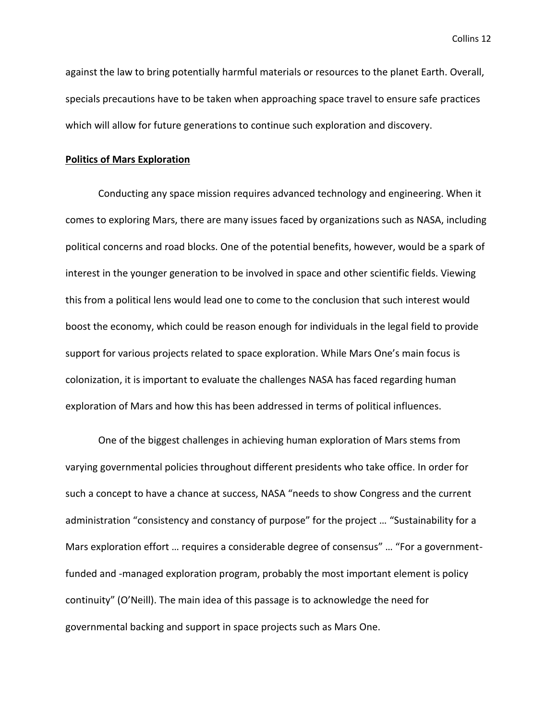against the law to bring potentially harmful materials or resources to the planet Earth. Overall, specials precautions have to be taken when approaching space travel to ensure safe practices which will allow for future generations to continue such exploration and discovery.

### **Politics of Mars Exploration**

Conducting any space mission requires advanced technology and engineering. When it comes to exploring Mars, there are many issues faced by organizations such as NASA, including political concerns and road blocks. One of the potential benefits, however, would be a spark of interest in the younger generation to be involved in space and other scientific fields. Viewing this from a political lens would lead one to come to the conclusion that such interest would boost the economy, which could be reason enough for individuals in the legal field to provide support for various projects related to space exploration. While Mars One's main focus is colonization, it is important to evaluate the challenges NASA has faced regarding human exploration of Mars and how this has been addressed in terms of political influences.

One of the biggest challenges in achieving human exploration of Mars stems from varying governmental policies throughout different presidents who take office. In order for such a concept to have a chance at success, NASA "needs to show Congress and the current administration "consistency and constancy of purpose" for the project … "Sustainability for a Mars exploration effort … requires a considerable degree of consensus" … "For a governmentfunded and -managed exploration program, probably the most important element is policy continuity" (O'Neill). The main idea of this passage is to acknowledge the need for governmental backing and support in space projects such as Mars One.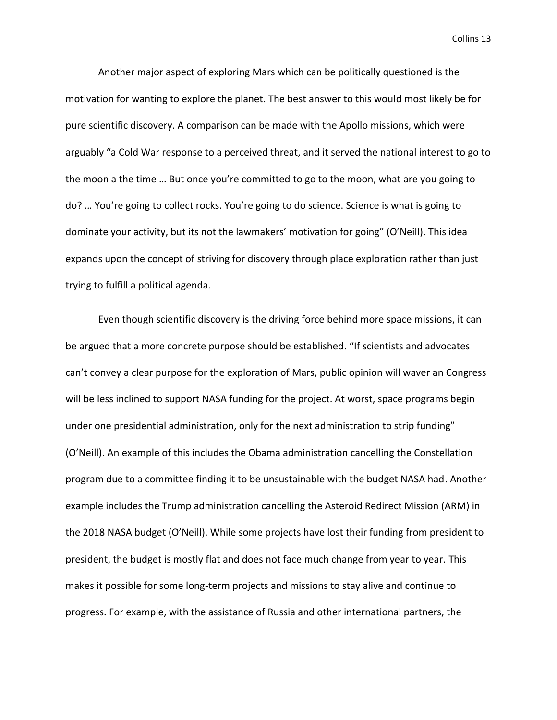Another major aspect of exploring Mars which can be politically questioned is the motivation for wanting to explore the planet. The best answer to this would most likely be for pure scientific discovery. A comparison can be made with the Apollo missions, which were arguably "a Cold War response to a perceived threat, and it served the national interest to go to the moon a the time … But once you're committed to go to the moon, what are you going to do? … You're going to collect rocks. You're going to do science. Science is what is going to dominate your activity, but its not the lawmakers' motivation for going" (O'Neill). This idea expands upon the concept of striving for discovery through place exploration rather than just trying to fulfill a political agenda.

Even though scientific discovery is the driving force behind more space missions, it can be argued that a more concrete purpose should be established. "If scientists and advocates can't convey a clear purpose for the exploration of Mars, public opinion will waver an Congress will be less inclined to support NASA funding for the project. At worst, space programs begin under one presidential administration, only for the next administration to strip funding" (O'Neill). An example of this includes the Obama administration cancelling the Constellation program due to a committee finding it to be unsustainable with the budget NASA had. Another example includes the Trump administration cancelling the Asteroid Redirect Mission (ARM) in the 2018 NASA budget (O'Neill). While some projects have lost their funding from president to president, the budget is mostly flat and does not face much change from year to year. This makes it possible for some long-term projects and missions to stay alive and continue to progress. For example, with the assistance of Russia and other international partners, the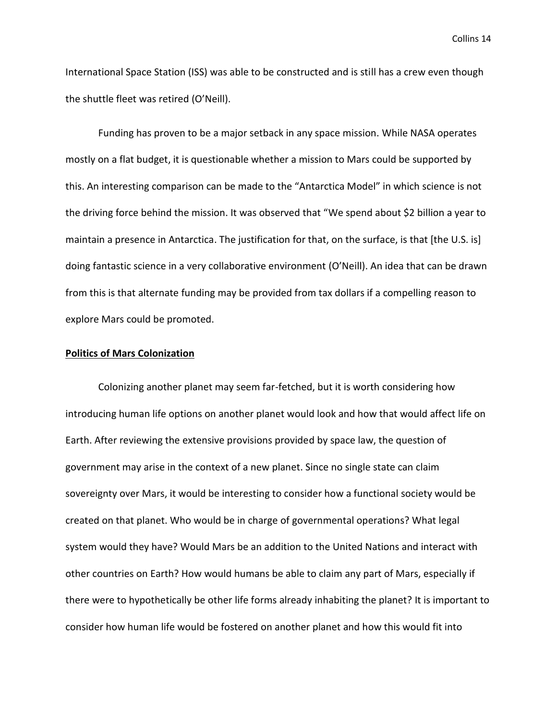International Space Station (ISS) was able to be constructed and is still has a crew even though the shuttle fleet was retired (O'Neill).

Funding has proven to be a major setback in any space mission. While NASA operates mostly on a flat budget, it is questionable whether a mission to Mars could be supported by this. An interesting comparison can be made to the "Antarctica Model" in which science is not the driving force behind the mission. It was observed that "We spend about \$2 billion a year to maintain a presence in Antarctica. The justification for that, on the surface, is that [the U.S. is] doing fantastic science in a very collaborative environment (O'Neill). An idea that can be drawn from this is that alternate funding may be provided from tax dollars if a compelling reason to explore Mars could be promoted.

### **Politics of Mars Colonization**

Colonizing another planet may seem far-fetched, but it is worth considering how introducing human life options on another planet would look and how that would affect life on Earth. After reviewing the extensive provisions provided by space law, the question of government may arise in the context of a new planet. Since no single state can claim sovereignty over Mars, it would be interesting to consider how a functional society would be created on that planet. Who would be in charge of governmental operations? What legal system would they have? Would Mars be an addition to the United Nations and interact with other countries on Earth? How would humans be able to claim any part of Mars, especially if there were to hypothetically be other life forms already inhabiting the planet? It is important to consider how human life would be fostered on another planet and how this would fit into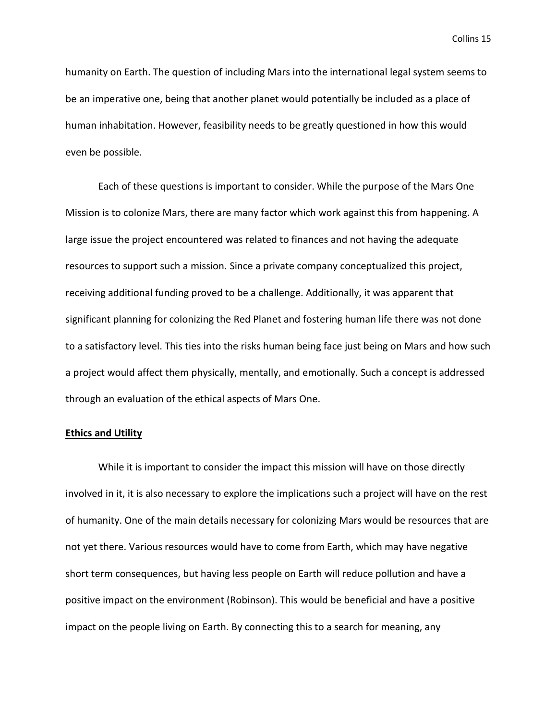humanity on Earth. The question of including Mars into the international legal system seems to be an imperative one, being that another planet would potentially be included as a place of human inhabitation. However, feasibility needs to be greatly questioned in how this would even be possible.

Each of these questions is important to consider. While the purpose of the Mars One Mission is to colonize Mars, there are many factor which work against this from happening. A large issue the project encountered was related to finances and not having the adequate resources to support such a mission. Since a private company conceptualized this project, receiving additional funding proved to be a challenge. Additionally, it was apparent that significant planning for colonizing the Red Planet and fostering human life there was not done to a satisfactory level. This ties into the risks human being face just being on Mars and how such a project would affect them physically, mentally, and emotionally. Such a concept is addressed through an evaluation of the ethical aspects of Mars One.

### **Ethics and Utility**

While it is important to consider the impact this mission will have on those directly involved in it, it is also necessary to explore the implications such a project will have on the rest of humanity. One of the main details necessary for colonizing Mars would be resources that are not yet there. Various resources would have to come from Earth, which may have negative short term consequences, but having less people on Earth will reduce pollution and have a positive impact on the environment (Robinson). This would be beneficial and have a positive impact on the people living on Earth. By connecting this to a search for meaning, any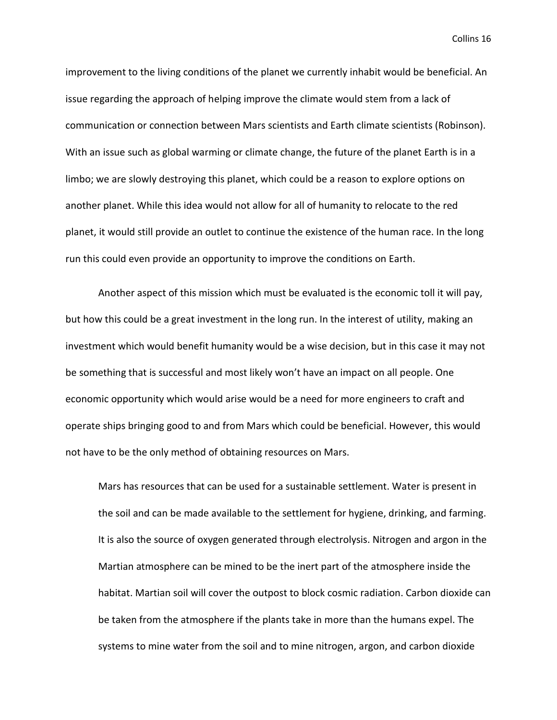improvement to the living conditions of the planet we currently inhabit would be beneficial. An issue regarding the approach of helping improve the climate would stem from a lack of communication or connection between Mars scientists and Earth climate scientists (Robinson). With an issue such as global warming or climate change, the future of the planet Earth is in a limbo; we are slowly destroying this planet, which could be a reason to explore options on another planet. While this idea would not allow for all of humanity to relocate to the red planet, it would still provide an outlet to continue the existence of the human race. In the long run this could even provide an opportunity to improve the conditions on Earth.

Another aspect of this mission which must be evaluated is the economic toll it will pay, but how this could be a great investment in the long run. In the interest of utility, making an investment which would benefit humanity would be a wise decision, but in this case it may not be something that is successful and most likely won't have an impact on all people. One economic opportunity which would arise would be a need for more engineers to craft and operate ships bringing good to and from Mars which could be beneficial. However, this would not have to be the only method of obtaining resources on Mars.

Mars has resources that can be used for a sustainable settlement. Water is present in the soil and can be made available to the settlement for hygiene, drinking, and farming. It is also the source of oxygen generated through electrolysis. Nitrogen and argon in the Martian atmosphere can be mined to be the inert part of the atmosphere inside the habitat. Martian soil will cover the outpost to block cosmic radiation. Carbon dioxide can be taken from the atmosphere if the plants take in more than the humans expel. The systems to mine water from the soil and to mine nitrogen, argon, and carbon dioxide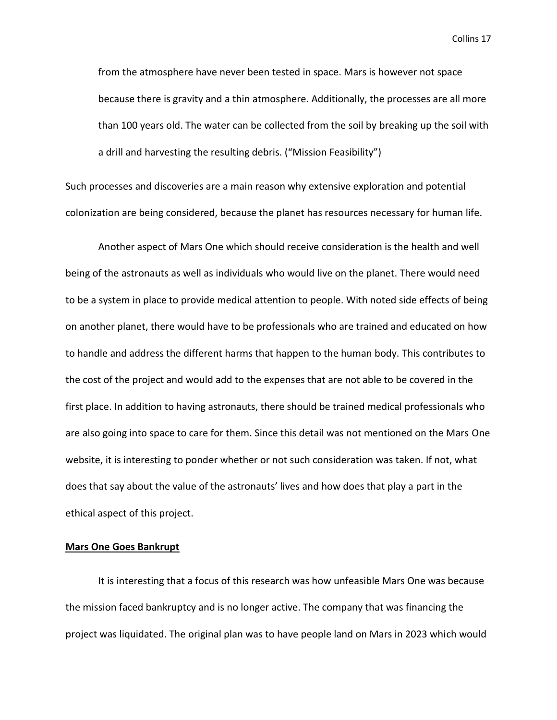from the atmosphere have never been tested in space. Mars is however not space because there is gravity and a thin atmosphere. Additionally, the processes are all more than 100 years old. The water can be collected from the soil by breaking up the soil with a drill and harvesting the resulting debris. ("Mission Feasibility")

Such processes and discoveries are a main reason why extensive exploration and potential colonization are being considered, because the planet has resources necessary for human life.

Another aspect of Mars One which should receive consideration is the health and well being of the astronauts as well as individuals who would live on the planet. There would need to be a system in place to provide medical attention to people. With noted side effects of being on another planet, there would have to be professionals who are trained and educated on how to handle and address the different harms that happen to the human body. This contributes to the cost of the project and would add to the expenses that are not able to be covered in the first place. In addition to having astronauts, there should be trained medical professionals who are also going into space to care for them. Since this detail was not mentioned on the Mars One website, it is interesting to ponder whether or not such consideration was taken. If not, what does that say about the value of the astronauts' lives and how does that play a part in the ethical aspect of this project.

### **Mars One Goes Bankrupt**

It is interesting that a focus of this research was how unfeasible Mars One was because the mission faced bankruptcy and is no longer active. The company that was financing the project was liquidated. The original plan was to have people land on Mars in 2023 which would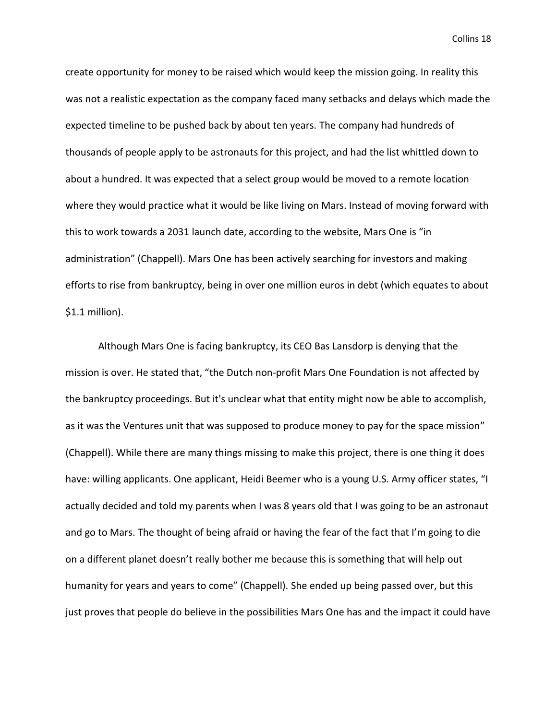create opportunity for money to be raised which would keep the mission going. In reality this was not a realistic expectation as the company faced many setbacks and delays which made the expected timeline to be pushed back by about ten years. The company had hundreds of thousands of people apply to be astronauts for this project, and had the list whittled down to about a hundred. It was expected that a select group would be moved to a remote location where they would practice what it would be like living on Mars. Instead of moving forward with this to work towards a 2031 launch date, according to the website, Mars One is "in administration" (Chappell). Mars One has been actively searching for investors and making efforts to rise from bankruptcy, being in over one million euros in debt (which equates to about \$1.1 million).

Although Mars One is facing bankruptcy, its CEO Bas Lansdorp is denying that the mission is over. He stated that, "the Dutch non-profit Mars One Foundation is not affected by the bankruptcy proceedings. But it's unclear what that entity might now be able to accomplish, as it was the Ventures unit that was supposed to produce money to pay for the space mission" (Chappell). While there are many things missing to make this project, there is one thing it does have: willing applicants. One applicant, Heidi Beemer who is a young U.S. Army officer states, "I actually decided and told my parents when I was 8 years old that I was going to be an astronaut and go to Mars. The thought of being afraid or having the fear of the fact that I'm going to die on a different planet doesn't really bother me because this is something that will help out humanity for years and years to come" (Chappell). She ended up being passed over, but this just proves that people do believe in the possibilities Mars One has and the impact it could have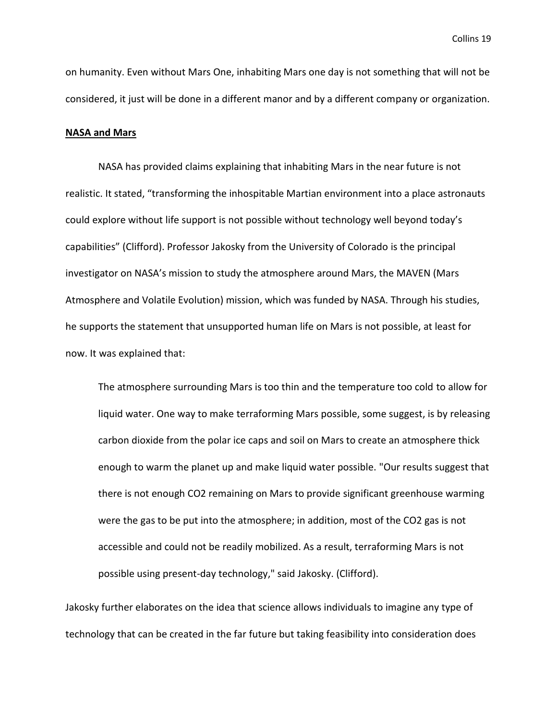on humanity. Even without Mars One, inhabiting Mars one day is not something that will not be considered, it just will be done in a different manor and by a different company or organization.

#### **NASA and Mars**

NASA has provided claims explaining that inhabiting Mars in the near future is not realistic. It stated, "transforming the inhospitable Martian environment into a place astronauts could explore without life support is not possible without technology well beyond today's capabilities" (Clifford). Professor Jakosky from the University of Colorado is the principal investigator on NASA's mission to study the atmosphere around Mars, the MAVEN (Mars Atmosphere and Volatile Evolution) mission, which was funded by NASA. Through his studies, he supports the statement that unsupported human life on Mars is not possible, at least for now. It was explained that:

The atmosphere surrounding Mars is too thin and the temperature too cold to allow for liquid water. One way to make terraforming Mars possible, some suggest, is by releasing carbon dioxide from the polar ice caps and soil on Mars to create an atmosphere thick enough to warm the planet up and make liquid water possible. "Our results suggest that there is not enough CO2 remaining on Mars to provide significant greenhouse warming were the gas to be put into the atmosphere; in addition, most of the CO2 gas is not accessible and could not be readily mobilized. As a result, terraforming Mars is not possible using present-day technology," said Jakosky. (Clifford).

Jakosky further elaborates on the idea that science allows individuals to imagine any type of technology that can be created in the far future but taking feasibility into consideration does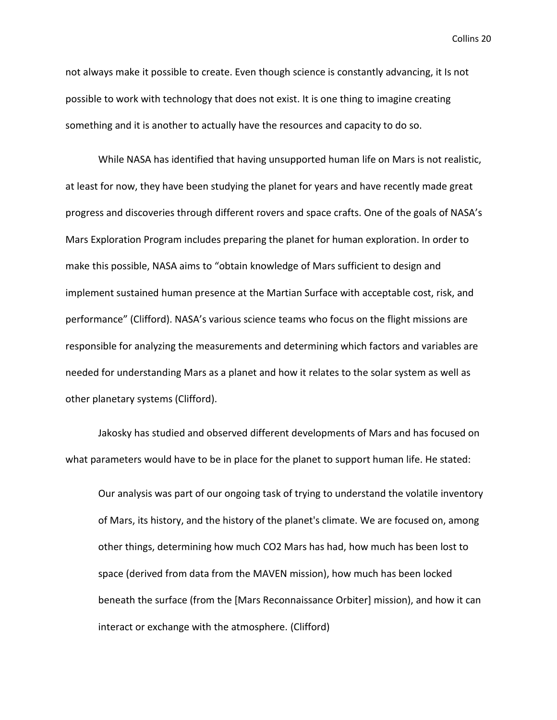not always make it possible to create. Even though science is constantly advancing, it Is not possible to work with technology that does not exist. It is one thing to imagine creating something and it is another to actually have the resources and capacity to do so.

While NASA has identified that having unsupported human life on Mars is not realistic, at least for now, they have been studying the planet for years and have recently made great progress and discoveries through different rovers and space crafts. One of the goals of NASA's Mars Exploration Program includes preparing the planet for human exploration. In order to make this possible, NASA aims to "obtain knowledge of Mars sufficient to design and implement sustained human presence at the Martian Surface with acceptable cost, risk, and performance" (Clifford). NASA's various science teams who focus on the flight missions are responsible for analyzing the measurements and determining which factors and variables are needed for understanding Mars as a planet and how it relates to the solar system as well as other planetary systems (Clifford).

Jakosky has studied and observed different developments of Mars and has focused on what parameters would have to be in place for the planet to support human life. He stated:

Our analysis was part of our ongoing task of trying to understand the volatile inventory of Mars, its history, and the history of the planet's climate. We are focused on, among other things, determining how much CO2 Mars has had, how much has been lost to space (derived from data from the MAVEN mission), how much has been locked beneath the surface (from the [Mars Reconnaissance Orbiter] mission), and how it can interact or exchange with the atmosphere. (Clifford)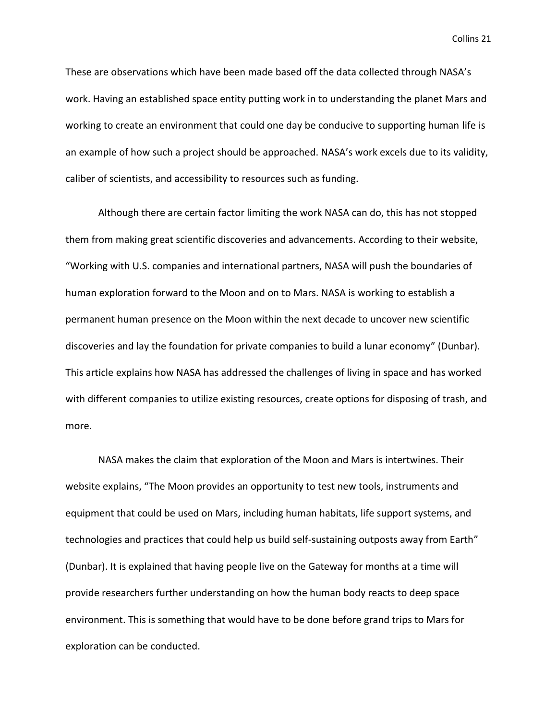These are observations which have been made based off the data collected through NASA's work. Having an established space entity putting work in to understanding the planet Mars and working to create an environment that could one day be conducive to supporting human life is an example of how such a project should be approached. NASA's work excels due to its validity, caliber of scientists, and accessibility to resources such as funding.

Although there are certain factor limiting the work NASA can do, this has not stopped them from making great scientific discoveries and advancements. According to their website, "Working with U.S. companies and international partners, NASA will push the boundaries of human exploration forward to the Moon and on to Mars. NASA is working to establish a permanent human presence on the Moon within the next decade to uncover new scientific discoveries and lay the foundation for private companies to build a lunar economy" (Dunbar). This article explains how NASA has addressed the challenges of living in space and has worked with different companies to utilize existing resources, create options for disposing of trash, and more.

NASA makes the claim that exploration of the Moon and Mars is intertwines. Their website explains, "The Moon provides an opportunity to test new tools, instruments and equipment that could be used on Mars, including human habitats, life support systems, and technologies and practices that could help us build self-sustaining outposts away from Earth" (Dunbar). It is explained that having people live on the Gateway for months at a time will provide researchers further understanding on how the human body reacts to deep space environment. This is something that would have to be done before grand trips to Mars for exploration can be conducted.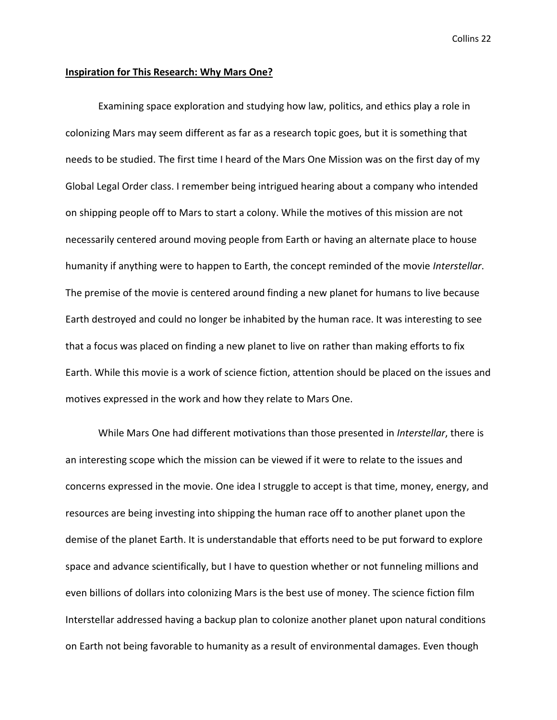#### **Inspiration for This Research: Why Mars One?**

Examining space exploration and studying how law, politics, and ethics play a role in colonizing Mars may seem different as far as a research topic goes, but it is something that needs to be studied. The first time I heard of the Mars One Mission was on the first day of my Global Legal Order class. I remember being intrigued hearing about a company who intended on shipping people off to Mars to start a colony. While the motives of this mission are not necessarily centered around moving people from Earth or having an alternate place to house humanity if anything were to happen to Earth, the concept reminded of the movie *Interstellar*. The premise of the movie is centered around finding a new planet for humans to live because Earth destroyed and could no longer be inhabited by the human race. It was interesting to see that a focus was placed on finding a new planet to live on rather than making efforts to fix Earth. While this movie is a work of science fiction, attention should be placed on the issues and motives expressed in the work and how they relate to Mars One.

While Mars One had different motivations than those presented in *Interstellar*, there is an interesting scope which the mission can be viewed if it were to relate to the issues and concerns expressed in the movie. One idea I struggle to accept is that time, money, energy, and resources are being investing into shipping the human race off to another planet upon the demise of the planet Earth. It is understandable that efforts need to be put forward to explore space and advance scientifically, but I have to question whether or not funneling millions and even billions of dollars into colonizing Mars is the best use of money. The science fiction film Interstellar addressed having a backup plan to colonize another planet upon natural conditions on Earth not being favorable to humanity as a result of environmental damages. Even though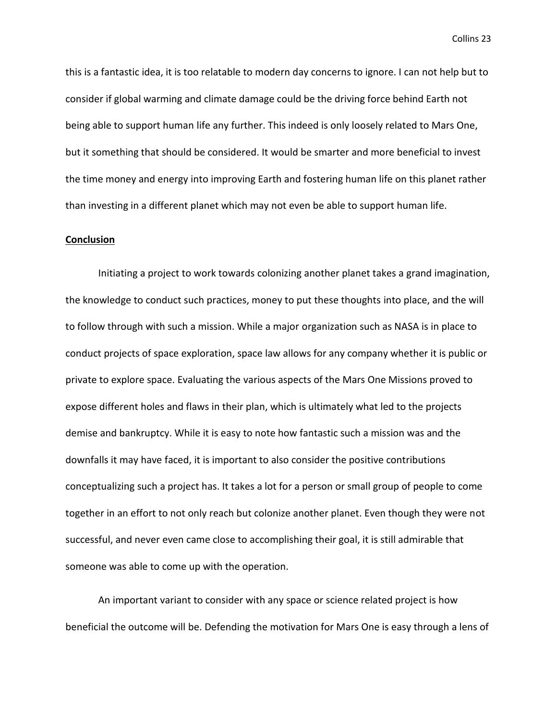this is a fantastic idea, it is too relatable to modern day concerns to ignore. I can not help but to consider if global warming and climate damage could be the driving force behind Earth not being able to support human life any further. This indeed is only loosely related to Mars One, but it something that should be considered. It would be smarter and more beneficial to invest the time money and energy into improving Earth and fostering human life on this planet rather than investing in a different planet which may not even be able to support human life.

#### **Conclusion**

Initiating a project to work towards colonizing another planet takes a grand imagination, the knowledge to conduct such practices, money to put these thoughts into place, and the will to follow through with such a mission. While a major organization such as NASA is in place to conduct projects of space exploration, space law allows for any company whether it is public or private to explore space. Evaluating the various aspects of the Mars One Missions proved to expose different holes and flaws in their plan, which is ultimately what led to the projects demise and bankruptcy. While it is easy to note how fantastic such a mission was and the downfalls it may have faced, it is important to also consider the positive contributions conceptualizing such a project has. It takes a lot for a person or small group of people to come together in an effort to not only reach but colonize another planet. Even though they were not successful, and never even came close to accomplishing their goal, it is still admirable that someone was able to come up with the operation.

An important variant to consider with any space or science related project is how beneficial the outcome will be. Defending the motivation for Mars One is easy through a lens of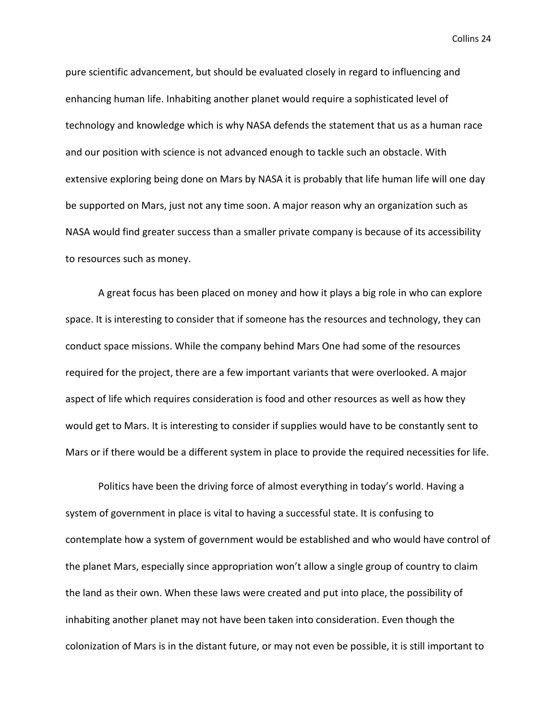pure scientific advancement, but should be evaluated closely in regard to influencing and enhancing human life. Inhabiting another planet would require a sophisticated level of technology and knowledge which is why NASA defends the statement that us as a human race and our position with science is not advanced enough to tackle such an obstacle. With extensive exploring being done on Mars by NASA it is probably that life human life will one day be supported on Mars, just not any time soon. A major reason why an organization such as NASA would find greater success than a smaller private company is because of its accessibility to resources such as money.

A great focus has been placed on money and how it plays a big role in who can explore space. It is interesting to consider that if someone has the resources and technology, they can conduct space missions. While the company behind Mars One had some of the resources required for the project, there are a few important variants that were overlooked. A major aspect of life which requires consideration is food and other resources as well as how they would get to Mars. It is interesting to consider if supplies would have to be constantly sent to Mars or if there would be a different system in place to provide the required necessities for life.

Politics have been the driving force of almost everything in today's world. Having a system of government in place is vital to having a successful state. It is confusing to contemplate how a system of government would be established and who would have control of the planet Mars, especially since appropriation won't allow a single group of country to claim the land as their own. When these laws were created and put into place, the possibility of inhabiting another planet may not have been taken into consideration. Even though the colonization of Mars is in the distant future, or may not even be possible, it is still important to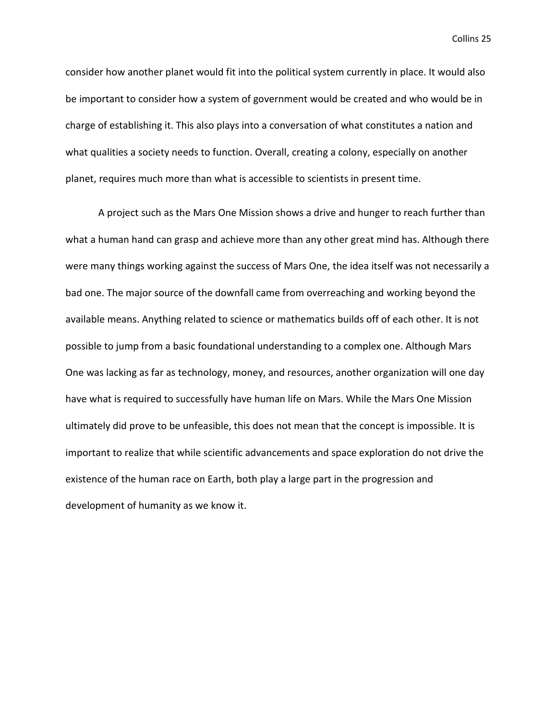consider how another planet would fit into the political system currently in place. It would also be important to consider how a system of government would be created and who would be in charge of establishing it. This also plays into a conversation of what constitutes a nation and what qualities a society needs to function. Overall, creating a colony, especially on another planet, requires much more than what is accessible to scientists in present time.

A project such as the Mars One Mission shows a drive and hunger to reach further than what a human hand can grasp and achieve more than any other great mind has. Although there were many things working against the success of Mars One, the idea itself was not necessarily a bad one. The major source of the downfall came from overreaching and working beyond the available means. Anything related to science or mathematics builds off of each other. It is not possible to jump from a basic foundational understanding to a complex one. Although Mars One was lacking as far as technology, money, and resources, another organization will one day have what is required to successfully have human life on Mars. While the Mars One Mission ultimately did prove to be unfeasible, this does not mean that the concept is impossible. It is important to realize that while scientific advancements and space exploration do not drive the existence of the human race on Earth, both play a large part in the progression and development of humanity as we know it.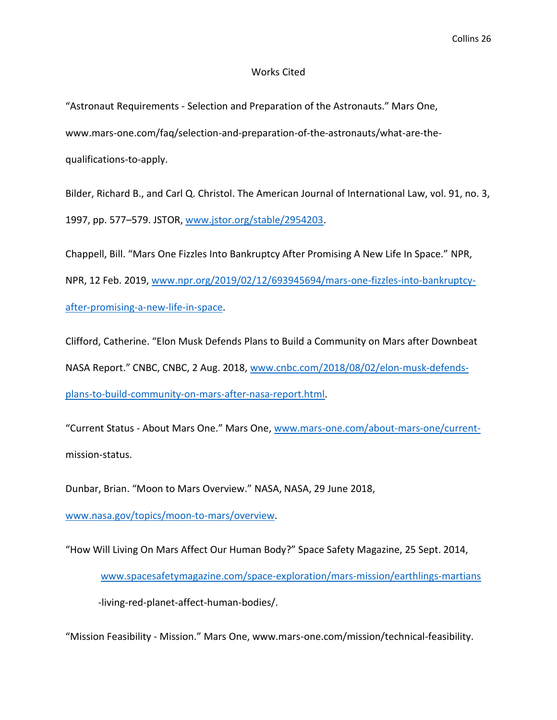## Works Cited

"Astronaut Requirements - Selection and Preparation of the Astronauts." Mars One, www.mars-one.com/faq/selection-and-preparation-of-the-astronauts/what-are-thequalifications-to-apply.

Bilder, Richard B., and Carl Q. Christol. The American Journal of International Law, vol. 91, no. 3, 1997, pp. 577–579. JSTOR, [www.jstor.org/stable/2954203.](http://www.jstor.org/stable/2954203)

Chappell, Bill. "Mars One Fizzles Into Bankruptcy After Promising A New Life In Space." NPR, NPR, 12 Feb. 2019, [www.npr.org/2019/02/12/693945694/mars-one-fizzles-into-bankruptcy](http://www.npr.org/2019/02/12/693945694/mars-one-fizzles-into-bankruptcy-after-promising-a-new-life-in-space)[after-promising-a-new-life-in-space.](http://www.npr.org/2019/02/12/693945694/mars-one-fizzles-into-bankruptcy-after-promising-a-new-life-in-space)

Clifford, Catherine. "Elon Musk Defends Plans to Build a Community on Mars after Downbeat NASA Report." CNBC, CNBC, 2 Aug. 2018, [www.cnbc.com/2018/08/02/elon-musk-defends](http://www.cnbc.com/2018/08/02/elon-musk-defends-plans-to-build-community-on-mars-after-nasa-report.html)[plans-to-build-community-on-mars-after-nasa-report.html.](http://www.cnbc.com/2018/08/02/elon-musk-defends-plans-to-build-community-on-mars-after-nasa-report.html)

"Current Status - About Mars One." Mars One, [www.mars-one.com/about-mars-one/current](http://www.mars-one.com/about-mars-one/current-)mission-status.

Dunbar, Brian. "Moon to Mars Overview." NASA, NASA, 29 June 2018,

[www.nasa.gov/topics/moon-to-mars/overview.](http://www.nasa.gov/topics/moon-to-mars/overview)

"How Will Living On Mars Affect Our Human Body?" Space Safety Magazine, 25 Sept. 2014, [www.spacesafetymagazine.com/space-exploration/mars-mission/earthlings-martians](http://www.spacesafetymagazine.com/space-exploration/mars-mission/earthlings-martians) -living-red-planet-affect-human-bodies/.

"Mission Feasibility - Mission." Mars One, www.mars-one.com/mission/technical-feasibility.